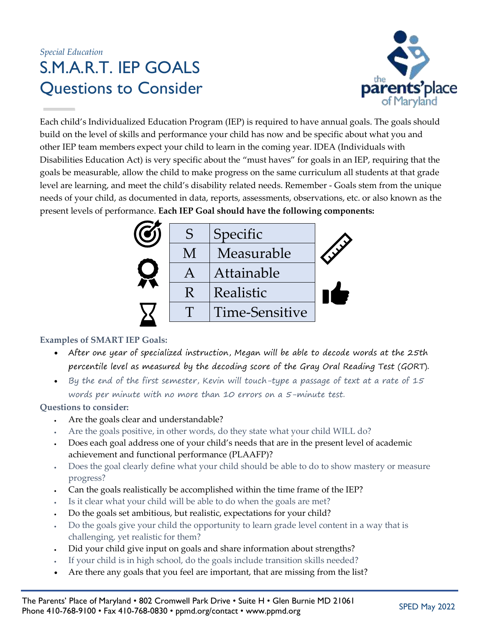## *Special Education* S.M.A.R.T. IEP GOALS Questions to Consider



Each child's Individualized Education Program (IEP) is required to have annual goals. The goals should build on the level of skills and performance your child has now and be specific about what you and other IEP team members expect your child to learn in the coming year. IDEA (Individuals with Disabilities Education Act) is very specific about the "must haves" for goals in an IEP, requiring that the goals be measurable, allow the child to make progress on the same curriculum all students at that grade level are learning, and meet the child's disability related needs. Remember - Goals stem from the unique needs of your child, as documented in data, reports, assessments, observations, etc. or also known as the present levels of performance. **Each IEP Goal should have the following components:**



## **Examples of SMART IEP Goals:**

- After one year of specialized instruction, Megan will be able to decode words at the 25th percentile level as measured by the decoding score of the Gray Oral Reading Test (GORT).
- By the end of the first semester, Kevin will touch-type a passage of text at a rate of 15 words per minute with no more than 10 errors on a 5-minute test.

## **Questions to consider:**

- Are the goals clear and understandable?
- Are the goals positive, in other words, do they state what your child WILL do?
- Does each goal address one of your child's needs that are in the present level of academic achievement and functional performance (PLAAFP)?
- Does the goal clearly define what your child should be able to do to show mastery or measure progress?
- Can the goals realistically be accomplished within the time frame of the IEP?
- Is it clear what your child will be able to do when the goals are met?
- Do the goals set ambitious, but realistic, expectations for your child?
- Do the goals give your child the opportunity to learn grade level content in a way that is challenging, yet realistic for them?
- Did your child give input on goals and share information about strengths?
- If your child is in high school, do the goals include transition skills needed?
- Are there any goals that you feel are important, that are missing from the list?